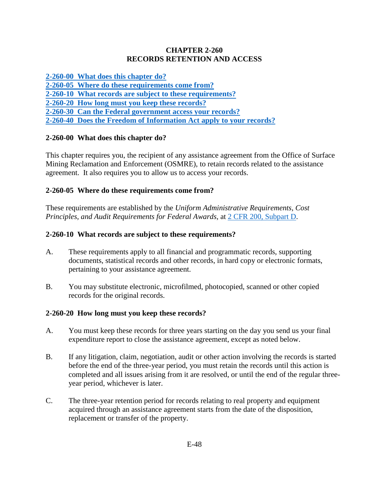#### **CHAPTER 2-260 RECORDS RETENTION AND ACCESS**

**[2-260-00 What does this chapter do?](#page-0-0)**

**[2-260-05 Where do these requirements come from?](#page-0-1)**

**[2-260-10 What records are subject to these requirements?](#page-0-2)**

**[2-260-20 How long must you keep these records?](#page-0-3)**

**[2-260-30 Can the Federal government access your records?](#page-1-0)**

**[2-260-40 Does the Freedom of Information Act apply to your records?](#page-1-1)**

## <span id="page-0-0"></span>**2-260-00 What does this chapter do?**

This chapter requires you, the recipient of any assistance agreement from the Office of Surface Mining Reclamation and Enforcement (OSMRE), to retain records related to the assistance agreement. It also requires you to allow us to access your records.

# <span id="page-0-1"></span>**2-260-05 Where do these requirements come from?**

These requirements are established by the *Uniform Administrative Requirements, Cost Principles, and Audit Requirements for Federal Awards,* at [2 CFR 200, Subpart D.](http://www.ecfr.gov/cgi-bin/text-idx?SID=f6ddafc06dfa494200fbc08fe01681ec&node=pt2.1.200&rgn=div5)

# <span id="page-0-2"></span>**2-260-10 What records are subject to these requirements?**

- A. These requirements apply to all financial and programmatic records, supporting documents, statistical records and other records, in hard copy or electronic formats, pertaining to your assistance agreement.
- B. You may substitute electronic, microfilmed, photocopied, scanned or other copied records for the original records.

## <span id="page-0-3"></span>**2-260-20 How long must you keep these records?**

- A. You must keep these records for three years starting on the day you send us your final expenditure report to close the assistance agreement, except as noted below.
- B. If any litigation, claim, negotiation, audit or other action involving the records is started before the end of the three-year period, you must retain the records until this action is completed and all issues arising from it are resolved, or until the end of the regular threeyear period, whichever is later.
- C. The three-year retention period for records relating to real property and equipment acquired through an assistance agreement starts from the date of the disposition, replacement or transfer of the property.